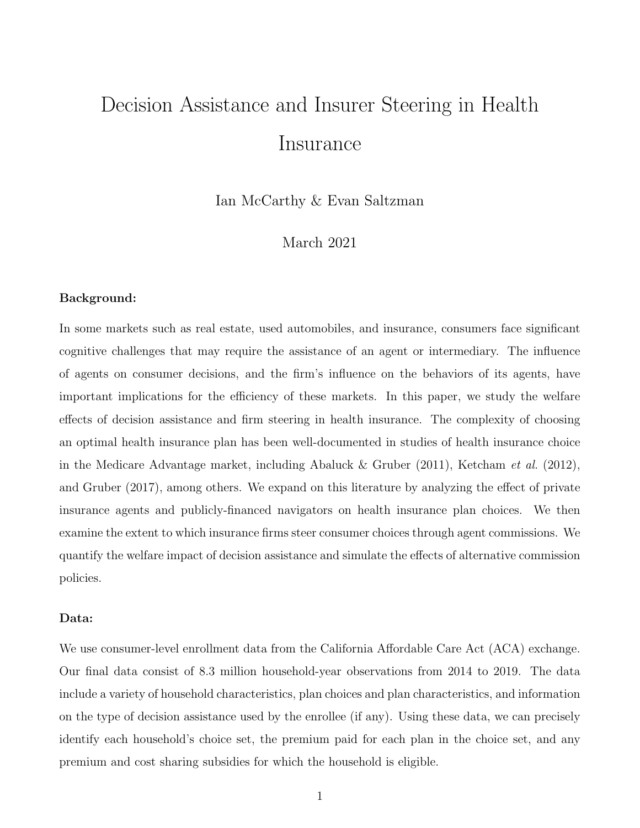# Decision Assistance and Insurer Steering in Health Insurance

Ian McCarthy & Evan Saltzman

### March 2021

#### Background:

In some markets such as real estate, used automobiles, and insurance, consumers face significant cognitive challenges that may require the assistance of an agent or intermediary. The influence of agents on consumer decisions, and the firm's influence on the behaviors of its agents, have important implications for the efficiency of these markets. In this paper, we study the welfare effects of decision assistance and firm steering in health insurance. The complexity of choosing an optimal health insurance plan has been well-documented in studies of health insurance choice in the Medicare Advantage market, including [Abaluck & Gruber](#page-3-0) [\(2011\)](#page-3-0), [Ketcham](#page-3-1) et al. [\(2012\)](#page-3-1), and [Gruber](#page-3-2) [\(2017\)](#page-3-2), among others. We expand on this literature by analyzing the effect of private insurance agents and publicly-financed navigators on health insurance plan choices. We then examine the extent to which insurance firms steer consumer choices through agent commissions. We quantify the welfare impact of decision assistance and simulate the effects of alternative commission policies.

#### Data:

We use consumer-level enrollment data from the California Affordable Care Act (ACA) exchange. Our final data consist of 8.3 million household-year observations from 2014 to 2019. The data include a variety of household characteristics, plan choices and plan characteristics, and information on the type of decision assistance used by the enrollee (if any). Using these data, we can precisely identify each household's choice set, the premium paid for each plan in the choice set, and any premium and cost sharing subsidies for which the household is eligible.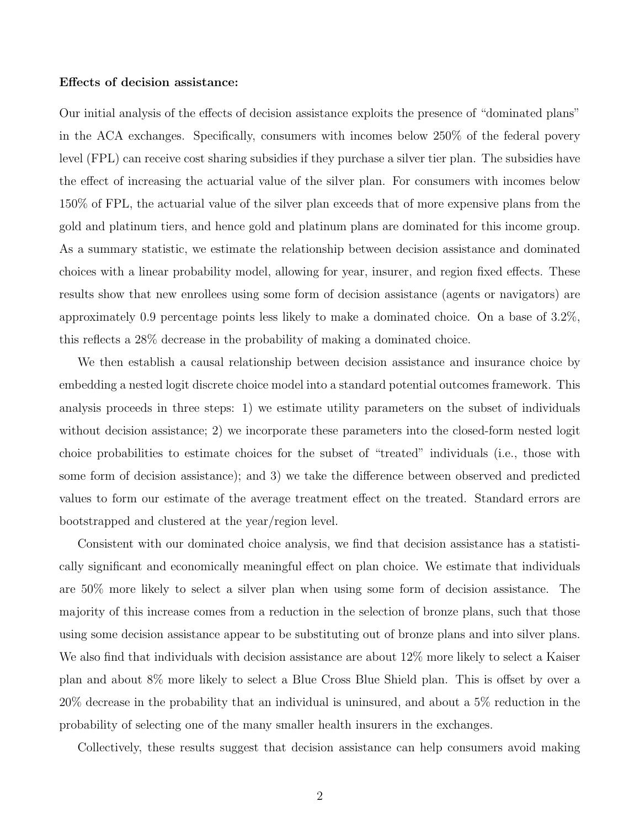#### Effects of decision assistance:

Our initial analysis of the effects of decision assistance exploits the presence of "dominated plans" in the ACA exchanges. Specifically, consumers with incomes below 250% of the federal povery level (FPL) can receive cost sharing subsidies if they purchase a silver tier plan. The subsidies have the effect of increasing the actuarial value of the silver plan. For consumers with incomes below 150% of FPL, the actuarial value of the silver plan exceeds that of more expensive plans from the gold and platinum tiers, and hence gold and platinum plans are dominated for this income group. As a summary statistic, we estimate the relationship between decision assistance and dominated choices with a linear probability model, allowing for year, insurer, and region fixed effects. These results show that new enrollees using some form of decision assistance (agents or navigators) are approximately 0.9 percentage points less likely to make a dominated choice. On a base of 3.2%, this reflects a 28% decrease in the probability of making a dominated choice.

We then establish a causal relationship between decision assistance and insurance choice by embedding a nested logit discrete choice model into a standard potential outcomes framework. This analysis proceeds in three steps: 1) we estimate utility parameters on the subset of individuals without decision assistance; 2) we incorporate these parameters into the closed-form nested logit choice probabilities to estimate choices for the subset of "treated" individuals (i.e., those with some form of decision assistance); and 3) we take the difference between observed and predicted values to form our estimate of the average treatment effect on the treated. Standard errors are bootstrapped and clustered at the year/region level.

Consistent with our dominated choice analysis, we find that decision assistance has a statistically significant and economically meaningful effect on plan choice. We estimate that individuals are 50% more likely to select a silver plan when using some form of decision assistance. The majority of this increase comes from a reduction in the selection of bronze plans, such that those using some decision assistance appear to be substituting out of bronze plans and into silver plans. We also find that individuals with decision assistance are about  $12\%$  more likely to select a Kaiser plan and about 8% more likely to select a Blue Cross Blue Shield plan. This is offset by over a 20% decrease in the probability that an individual is uninsured, and about a 5% reduction in the probability of selecting one of the many smaller health insurers in the exchanges.

Collectively, these results suggest that decision assistance can help consumers avoid making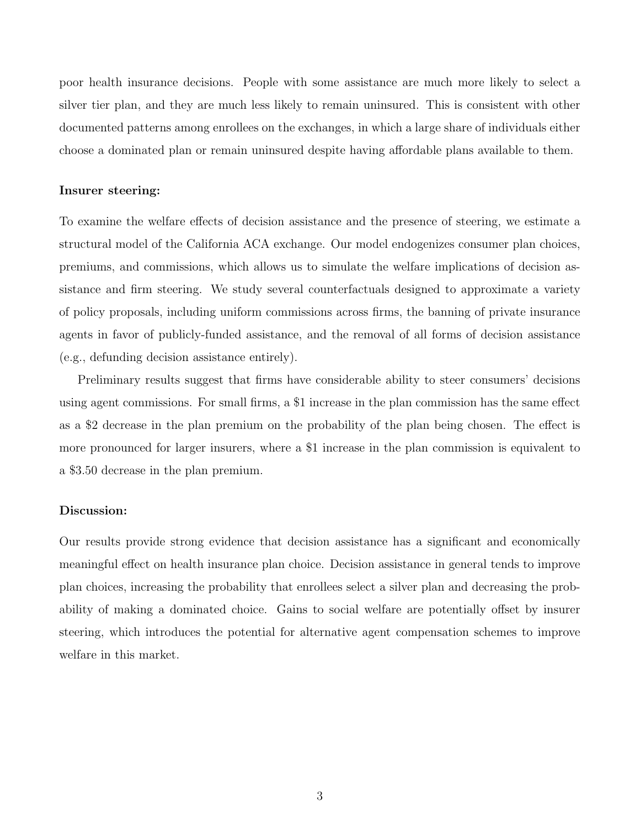poor health insurance decisions. People with some assistance are much more likely to select a silver tier plan, and they are much less likely to remain uninsured. This is consistent with other documented patterns among enrollees on the exchanges, in which a large share of individuals either choose a dominated plan or remain uninsured despite having affordable plans available to them.

#### Insurer steering:

To examine the welfare effects of decision assistance and the presence of steering, we estimate a structural model of the California ACA exchange. Our model endogenizes consumer plan choices, premiums, and commissions, which allows us to simulate the welfare implications of decision assistance and firm steering. We study several counterfactuals designed to approximate a variety of policy proposals, including uniform commissions across firms, the banning of private insurance agents in favor of publicly-funded assistance, and the removal of all forms of decision assistance (e.g., defunding decision assistance entirely).

Preliminary results suggest that firms have considerable ability to steer consumers' decisions using agent commissions. For small firms, a \$1 increase in the plan commission has the same effect as a \$2 decrease in the plan premium on the probability of the plan being chosen. The effect is more pronounced for larger insurers, where a \$1 increase in the plan commission is equivalent to a \$3.50 decrease in the plan premium.

#### Discussion:

Our results provide strong evidence that decision assistance has a significant and economically meaningful effect on health insurance plan choice. Decision assistance in general tends to improve plan choices, increasing the probability that enrollees select a silver plan and decreasing the probability of making a dominated choice. Gains to social welfare are potentially offset by insurer steering, which introduces the potential for alternative agent compensation schemes to improve welfare in this market.